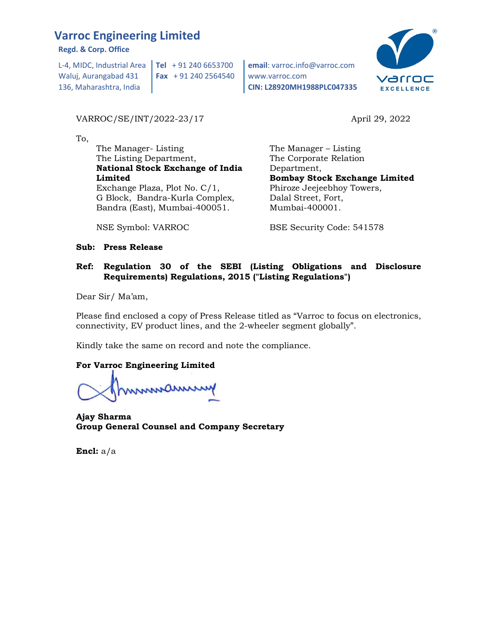## Varroc Engineering Limited

Regd. & Corp. Office

L-4, MIDC, Industrial Area  $\vert$  Tel + 91 240 6653700 Waluj, Aurangabad 431 136, Maharashtra, India Fax + 91 240 2564540

### VARROC/SE/INT/2022-23/17 April 29, 2022

To,

 The Manager- Listing The Listing Department, National Stock Exchange of India Limited Exchange Plaza, Plot No. C/1, G Block, Bandra-Kurla Complex, Bandra (East), Mumbai-400051.

NSE Symbol: VARROC

Tel + 91 240 6653700 email: varroc.info@varroc.com www.varroc.com CIN: L28920MH1988PLC047335



 The Manager – Listing The Corporate Relation Department, Bombay Stock Exchange Limited Phiroze Jeejeebhoy Towers, Dalal Street, Fort, Mumbai-400001.

BSE Security Code: 541578

### Sub: Press Release

### Ref: Regulation 30 of the SEBI (Listing Obligations and Disclosure Requirements) Regulations, 2015 ("Listing Regulations")

Dear Sir/ Ma'am,

Please find enclosed a copy of Press Release titled as "Varroc to focus on electronics, connectivity, EV product lines, and the 2-wheeler segment globally".

Kindly take the same on record and note the compliance.

### For Varroc Engineering Limited

mmmamm

Ajay Sharma Group General Counsel and Company Secretary

Encl: a/a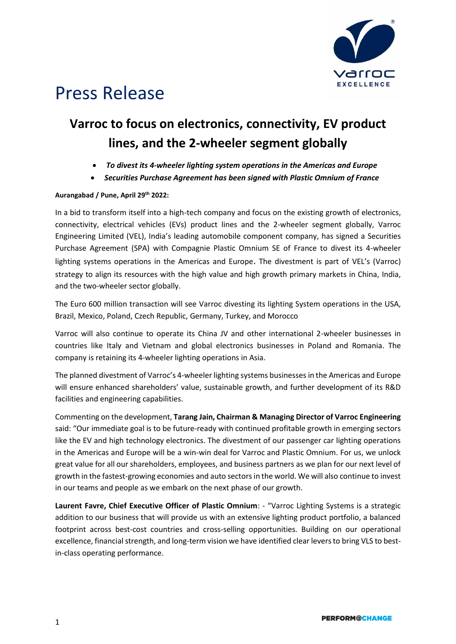

# Press Release

## **Varroc to focus on electronics, connectivity, EV product lines, and the 2-wheeler segment globally**

- *To divest its 4-wheeler lighting system operations in the Americas and Europe*
- *Securities Purchase Agreement has been signed with Plastic Omnium of France*

### **Aurangabad / Pune, April 29th 2022:**

In a bid to transform itself into a high-tech company and focus on the existing growth of electronics, connectivity, electrical vehicles (EVs) product lines and the 2-wheeler segment globally, Varroc Engineering Limited (VEL), India's leading automobile component company, has signed a Securities Purchase Agreement (SPA) with Compagnie Plastic Omnium SE of France to divest its 4-wheeler lighting systems operations in the Americas and Europe. The divestment is part of VEL's (Varroc) strategy to align its resources with the high value and high growth primary markets in China, India, and the two-wheeler sector globally.

The Euro 600 million transaction will see Varroc divesting its lighting System operations in the USA, Brazil, Mexico, Poland, Czech Republic, Germany, Turkey, and Morocco

Varroc will also continue to operate its China JV and other international 2-wheeler businesses in countries like Italy and Vietnam and global electronics businesses in Poland and Romania. The company is retaining its 4-wheeler lighting operations in Asia.

The planned divestment of Varroc's 4-wheeler lighting systems businesses in the Americas and Europe will ensure enhanced shareholders' value, sustainable growth, and further development of its R&D facilities and engineering capabilities.

Commenting on the development, **Tarang Jain, Chairman & Managing Director of Varroc Engineering**  said: "Our immediate goal is to be future-ready with continued profitable growth in emerging sectors like the EV and high technology electronics. The divestment of our passenger car lighting operations in the Americas and Europe will be a win-win deal for Varroc and Plastic Omnium. For us, we unlock great value for all our shareholders, employees, and business partners as we plan for our next level of growth in the fastest-growing economies and auto sectors in the world. We will also continue to invest in our teams and people as we embark on the next phase of our growth.

**Laurent Favre, Chief Executive Officer of Plastic Omnium**: - "Varroc Lighting Systems is a strategic addition to our business that will provide us with an extensive lighting product portfolio, a balanced footprint across best-cost countries and cross-selling opportunities. Building on our operational excellence, financial strength, and long-term vision we have identified clear levers to bring VLS to bestin-class operating performance.